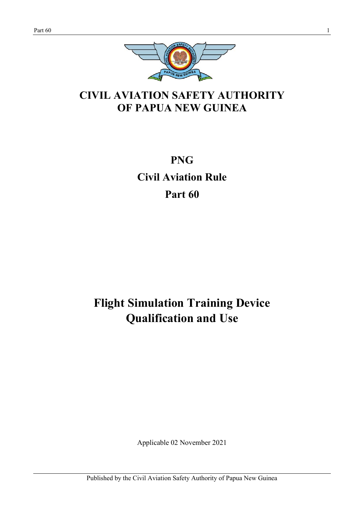

# **CIVIL AVIATION SAFETY AUTHORITY OF PAPUA NEW GUINEA**

**PNG Civil Aviation Rule Part 60**

# **Flight Simulation Training Device Qualification and Use**

Applicable 02 November 2021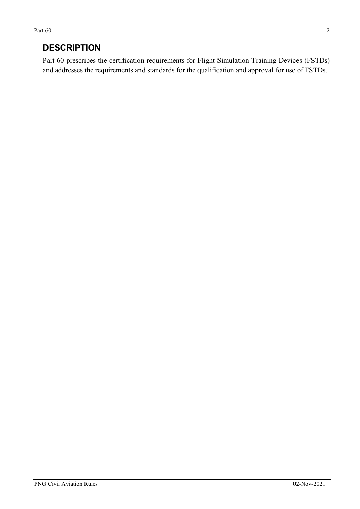## **DESCRIPTION**

Part 60 prescribes the certification requirements for Flight Simulation Training Devices (FSTDs) and addresses the requirements and standards for the qualification and approval for use of FSTDs.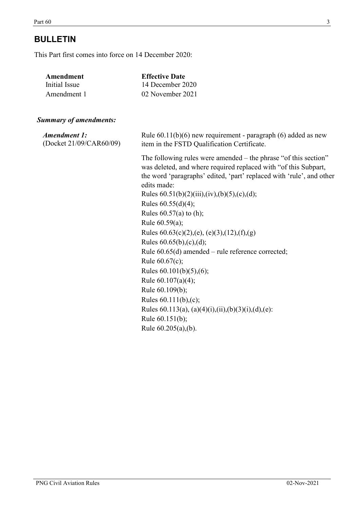# **BULLETIN**

This Part first comes into force on 14 December 2020:

| Amendment                     | <b>Effective Date</b>                                                                                                                                                                                                                                                                                                                                                                                                                                                                                                                                                                                                                                                                                               |
|-------------------------------|---------------------------------------------------------------------------------------------------------------------------------------------------------------------------------------------------------------------------------------------------------------------------------------------------------------------------------------------------------------------------------------------------------------------------------------------------------------------------------------------------------------------------------------------------------------------------------------------------------------------------------------------------------------------------------------------------------------------|
| <b>Initial Issue</b>          | 14 December 2020                                                                                                                                                                                                                                                                                                                                                                                                                                                                                                                                                                                                                                                                                                    |
| Amendment 1                   | 02 November 2021                                                                                                                                                                                                                                                                                                                                                                                                                                                                                                                                                                                                                                                                                                    |
| <b>Summary of amendments:</b> |                                                                                                                                                                                                                                                                                                                                                                                                                                                                                                                                                                                                                                                                                                                     |
| <b>Amendment 1:</b>           | Rule $60.11(b)(6)$ new requirement - paragraph $(6)$ added as new                                                                                                                                                                                                                                                                                                                                                                                                                                                                                                                                                                                                                                                   |
| (Docket 21/09/CAR60/09)       | item in the FSTD Qualification Certificate.                                                                                                                                                                                                                                                                                                                                                                                                                                                                                                                                                                                                                                                                         |
|                               | The following rules were amended $-$ the phrase "of this section"<br>was deleted, and where required replaced with "of this Subpart,<br>the word 'paragraphs' edited, 'part' replaced with 'rule', and other<br>edits made:<br>Rules $60.51(b)(2)(iii),(iv),(b)(5),(c),(d);$<br>Rules $60.55(d)(4)$ ;<br>Rules $60.57(a)$ to (h);<br>Rule 60.59(a);<br>Rules $60.63(c)(2)$ , (e), (e)(3), (12), (f), (g)<br>Rules $60.65(b)$ , (c), (d);<br>Rule $60.65(d)$ amended – rule reference corrected;<br>Rule 60.67(c);<br>Rules $60.101(b)(5),(6)$ ;<br>Rule $60.107(a)(4)$ ;<br>Rule 60.109(b);<br>Rules 60.111(b),(c);<br>Rules 60.113(a), (a)(4)(i),(ii),(b)(3)(i),(d),(e):<br>Rule 60.151(b);<br>Rule 60.205(a),(b). |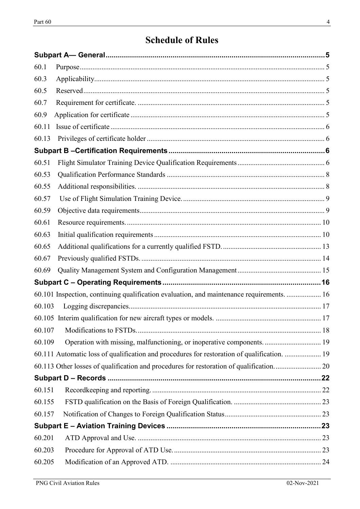# **Schedule of Rules**

| 60.1   |                                                                                             |  |
|--------|---------------------------------------------------------------------------------------------|--|
| 60.3   |                                                                                             |  |
| 60.5   |                                                                                             |  |
| 60.7   |                                                                                             |  |
| 60.9   |                                                                                             |  |
| 60.11  |                                                                                             |  |
| 60.13  |                                                                                             |  |
|        |                                                                                             |  |
| 60.51  |                                                                                             |  |
| 60.53  |                                                                                             |  |
| 60.55  |                                                                                             |  |
| 60.57  |                                                                                             |  |
| 60.59  |                                                                                             |  |
| 60.61  |                                                                                             |  |
| 60.63  |                                                                                             |  |
| 60.65  |                                                                                             |  |
| 60.67  |                                                                                             |  |
| 60.69  |                                                                                             |  |
|        |                                                                                             |  |
|        | 60.101 Inspection, continuing qualification evaluation, and maintenance requirements.  16   |  |
| 60.103 |                                                                                             |  |
|        |                                                                                             |  |
| 60.107 |                                                                                             |  |
| 60.109 | Operation with missing, malfunctioning, or inoperative components 19                        |  |
|        | 60.111 Automatic loss of qualification and procedures for restoration of qualification.  19 |  |
|        |                                                                                             |  |
|        |                                                                                             |  |
| 60.151 |                                                                                             |  |
| 60.155 |                                                                                             |  |
| 60.157 |                                                                                             |  |
|        |                                                                                             |  |
| 60.201 |                                                                                             |  |
| 60.203 |                                                                                             |  |
| 60.205 |                                                                                             |  |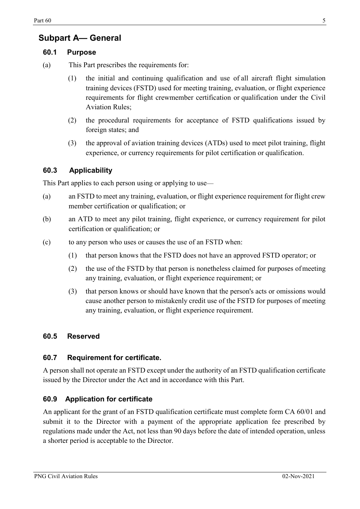## <span id="page-4-0"></span>**Subpart A— General**

#### <span id="page-4-1"></span>**60.1 Purpose**

- (a) This Part prescribes the requirements for:
	- (1) the initial and continuing qualification and use of all aircraft flight simulation training devices (FSTD) used for meeting training, evaluation, or flight experience requirements for flight crewmember certification or qualification under the Civil Aviation Rules;
	- (2) the procedural requirements for acceptance of FSTD qualifications issued by foreign states; and
	- (3) the approval of aviation training devices (ATDs) used to meet pilot training, flight experience, or currency requirements for pilot certification or qualification.

#### <span id="page-4-2"></span>**60.3 Applicability**

This Part applies to each person using or applying to use—

- (a) an FSTD to meet any training, evaluation, or flight experience requirement for flight crew member certification or qualification; or
- (b) an ATD to meet any pilot training, flight experience, or currency requirement for pilot certification or qualification; or
- (c) to any person who uses or causes the use of an FSTD when:
	- (1) that person knows that the FSTD does not have an approved FSTD operator; or
	- (2) the use of the FSTD by that person is nonetheless claimed for purposes ofmeeting any training, evaluation, or flight experience requirement; or
	- (3) that person knows or should have known that the person's acts or omissions would cause another person to mistakenly credit use of the FSTD for purposes of meeting any training, evaluation, or flight experience requirement.

#### <span id="page-4-3"></span>**60.5 Reserved**

#### <span id="page-4-4"></span>**60.7 Requirement for certificate.**

A person shall not operate an FSTD except under the authority of an FSTD qualification certificate issued by the Director under the Act and in accordance with this Part.

#### <span id="page-4-5"></span>**60.9 Application for certificate**

<span id="page-4-6"></span>An applicant for the grant of an FSTD qualification certificate must complete form CA 60/01 and submit it to the Director with a payment of the appropriate application fee prescribed by regulations made under the Act, not less than 90 days before the date of intended operation, unless a shorter period is acceptable to the Director.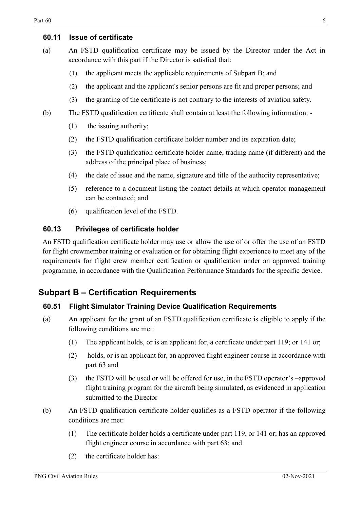#### **60.11 Issue of certificate**

- (a) An FSTD qualification certificate may be issued by the Director under the Act in accordance with this part if the Director is satisfied that:
	- (1) the applicant meets the applicable requirements of Subpart B; and
	- (2) the applicant and the applicant's senior persons are fit and proper persons; and
	- (3) the granting of the certificate is not contrary to the interests of aviation safety.
- (b) The FSTD qualification certificate shall contain at least the following information:
	- (1) the issuing authority;
	- (2) the FSTD qualification certificate holder number and its expiration date;
	- (3) the FSTD qualification certificate holder name, trading name (if different) and the address of the principal place of business;
	- (4) the date of issue and the name, signature and title of the authority representative;
	- (5) reference to a document listing the contact details at which operator management can be contacted; and
	- (6) qualification level of the FSTD.

#### <span id="page-5-0"></span>**60.13 Privileges of certificate holder**

An FSTD qualification certificate holder may use or allow the use of or offer the use of an FSTD for flight crewmember training or evaluation or for obtaining flight experience to meet any of the requirements for flight crew member certification or qualification under an approved training programme, in accordance with the Qualification Performance Standards for the specific device.

### <span id="page-5-1"></span>**Subpart B – Certification Requirements**

#### <span id="page-5-2"></span>**60.51 Flight Simulator Training Device Qualification Requirements**

- (a) An applicant for the grant of an FSTD qualification certificate is eligible to apply if the following conditions are met:
	- (1) The applicant holds, or is an applicant for, a certificate under part 119; or 141 or;
	- (2) holds, or is an applicant for, an approved flight engineer course in accordance with part 63 and
	- (3) the FSTD will be used or will be offered for use, in the FSTD operator's –approved flight training program for the aircraft being simulated, as evidenced in application submitted to the Director
- (b) An FSTD qualification certificate holder qualifies as a FSTD operator if the following conditions are met:
	- (1) The certificate holder holds a certificate under part 119, or 141 or; has an approved flight engineer course in accordance with part 63; and
	- (2) the certificate holder has: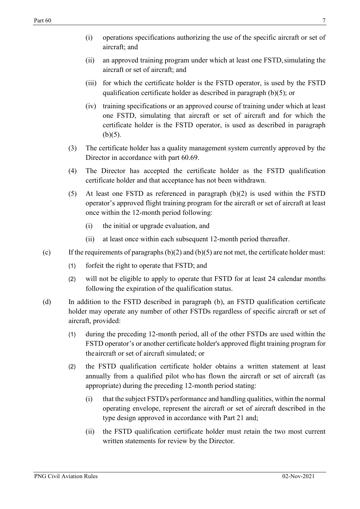- (ii) an approved training program under which at least one FSTD,simulating the aircraft or set of aircraft; and
- (iii) for which the certificate holder is the FSTD operator, is used by the FSTD qualification certificate holder as described in paragraph (b)(5); or
- (iv) training specifications or an approved course of training under which at least one FSTD, simulating that aircraft or set of aircraft and for which the certificate holder is the FSTD operator, is used as described in paragraph  $(b)(5)$ .
- (3) The certificate holder has a quality management system currently approved by the Director in accordance with part 60.69.
- (4) The Director has accepted the certificate holder as the FSTD qualification certificate holder and that acceptance has not been withdrawn.
- (5) At least one FSTD as referenced in paragraph (b)(2) is used within the FSTD operator's approved flight training program for the aircraft or set of aircraft at least once within the 12-month period following:
	- (i) the initial or upgrade evaluation, and
	- (ii) at least once within each subsequent 12-month period thereafter.
- (c) If the requirements of paragraphs  $(b)(2)$  and  $(b)(5)$  are not met, the certificate holder must:
	- (1) forfeit the right to operate that FSTD; and
	- (2) will not be eligible to apply to operate that FSTD for at least 24 calendar months following the expiration of the qualification status.
- (d) In addition to the FSTD described in paragraph (b), an FSTD qualification certificate holder may operate any number of other FSTDs regardless of specific aircraft or set of aircraft, provided:
	- (1) during the preceding 12-month period, all of the other FSTDs are used within the FSTD operator's or another certificate holder's approved flight training program for theaircraft or set of aircraft simulated; or
	- (2) the FSTD qualification certificate holder obtains a written statement at least annually from a qualified pilot who has flown the aircraft or set of aircraft (as appropriate) during the preceding 12-month period stating:
		- (i) that the subject FSTD's performance and handling qualities, within the normal operating envelope, represent the aircraft or set of aircraft described in the type design approved in accordance with Part 21 and;
		- (ii) the FSTD qualification certificate holder must retain the two most current written statements for review by the Director.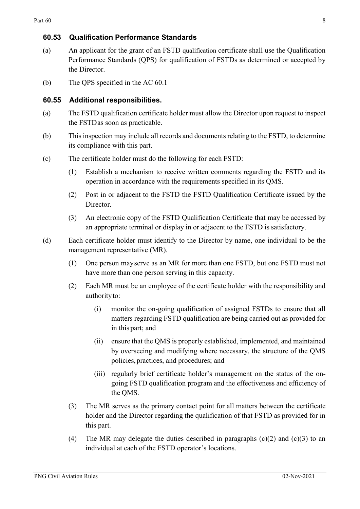#### <span id="page-7-0"></span>**60.53 Qualification Performance Standards**

- (a) An applicant for the grant of an FSTD qualification certificate shall use the Qualification Performance Standards (QPS) for qualification of FSTDs as determined or accepted by the Director.
- (b) The QPS specified in the AC 60.1

#### <span id="page-7-1"></span>**60.55 Additional responsibilities.**

- (a) The FSTD qualification certificate holder must allow the Director upon request to inspect the FSTDas soon as practicable.
- (b) This inspection may include all records and documents relating to the FSTD, to determine its compliance with this part.
- (c) The certificate holder must do the following for each FSTD:
	- (1) Establish a mechanism to receive written comments regarding the FSTD and its operation in accordance with the requirements specified in its QMS.
	- (2) Post in or adjacent to the FSTD the FSTD Qualification Certificate issued by the Director.
	- (3) An electronic copy of the FSTD Qualification Certificate that may be accessed by an appropriate terminal or display in or adjacent to the FSTD is satisfactory.
- (d) Each certificate holder must identify to the Director by name, one individual to be the management representative (MR).
	- (1) One person mayserve as an MR for more than one FSTD, but one FSTD must not have more than one person serving in this capacity.
	- (2) Each MR must be an employee of the certificate holder with the responsibility and authorityto:
		- (i) monitor the on-going qualification of assigned FSTDs to ensure that all matters regarding FSTD qualification are being carried out as provided for in this part; and
		- (ii) ensure that the QMS is properly established, implemented, and maintained by overseeing and modifying where necessary, the structure of the QMS policies,practices, and procedures; and
		- (iii) regularly brief certificate holder's management on the status of the ongoing FSTD qualification program and the effectiveness and efficiency of the QMS.
	- (3) The MR serves as the primary contact point for all matters between the certificate holder and the Director regarding the qualification of that FSTD as provided for in this part.
	- (4) The MR may delegate the duties described in paragraphs  $(c)(2)$  and  $(c)(3)$  to an individual at each of the FSTD operator's locations.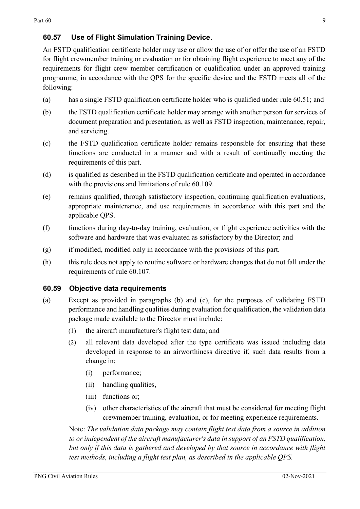#### <span id="page-8-0"></span>**60.57 Use of Flight Simulation Training Device.**

An FSTD qualification certificate holder may use or allow the use of or offer the use of an FSTD for flight crewmember training or evaluation or for obtaining flight experience to meet any of the requirements for flight crew member certification or qualification under an approved training programme, in accordance with the QPS for the specific device and the FSTD meets all of the following:

- (a) has a single FSTD qualification certificate holder who is qualified under rule 60.51; and
- (b) the FSTD qualification certificate holder may arrange with another person for services of document preparation and presentation, as well as FSTD inspection, maintenance, repair, and servicing.
- (c) the FSTD qualification certificate holder remains responsible for ensuring that these functions are conducted in a manner and with a result of continually meeting the requirements of this part.
- (d) is qualified as described in the FSTD qualification certificate and operated in accordance with the provisions and limitations of rule 60.109.
- (e) remains qualified, through satisfactory inspection, continuing qualification evaluations, appropriate maintenance, and use requirements in accordance with this part and the applicable QPS.
- (f) functions during day-to-day training, evaluation, or flight experience activities with the software and hardware that was evaluated as satisfactory by the Director; and
- (g) if modified, modified only in accordance with the provisions of this part.
- (h) this rule does not apply to routine software or hardware changes that do not fall under the requirements of rule 60.107.

#### <span id="page-8-1"></span>**60.59 Objective data requirements**

- (a) Except as provided in paragraphs (b) and (c), for the purposes of validating FSTD performance and handling qualities during evaluation for qualification, the validation data package made available to the Director must include:
	- (1) the aircraft manufacturer's flight test data; and
	- (2) all relevant data developed after the type certificate was issued including data developed in response to an airworthiness directive if, such data results from a change in;
		- (i) performance;
		- (ii) handling qualities,
		- (iii) functions or;
		- (iv) other characteristics of the aircraft that must be considered for meeting flight crewmember training, evaluation, or for meeting experience requirements.

Note: *The validation data package may contain flight test data from a source in addition to or independent of the aircraft manufacturer's data in support of an FSTD qualification, but only if this data is gathered and developed by that source in accordance with flight test methods, including a flight test plan, as described in the applicable QPS.*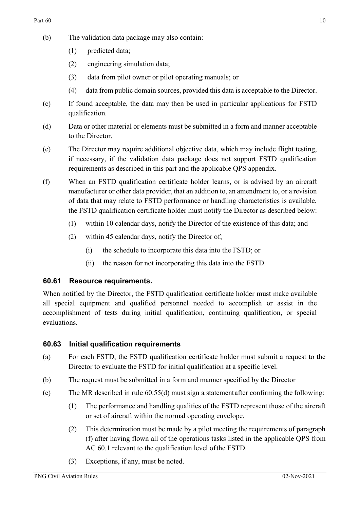- (b) The validation data package may also contain:
	- (1) predicted data;
	- (2) engineering simulation data;
	- (3) data from pilot owner or pilot operating manuals; or
	- (4) data from public domain sources, provided this data is acceptable to the Director.
- (c) If found acceptable, the data may then be used in particular applications for FSTD qualification.
- (d) Data or other material or elements must be submitted in a form and manner acceptable to the Director.
- (e) The Director may require additional objective data, which may include flight testing, if necessary, if the validation data package does not support FSTD qualification requirements as described in this part and the applicable QPS appendix.
- (f) When an FSTD qualification certificate holder learns, or is advised by an aircraft manufacturer or other data provider, that an addition to, an amendment to, or a revision of data that may relate to FSTD performance or handling characteristics is available, the FSTD qualification certificate holder must notify the Director as described below:
	- (1) within 10 calendar days, notify the Director of the existence of this data; and
	- (2) within 45 calendar days, notify the Director of;
		- (i) the schedule to incorporate this data into the FSTD; or
		- (ii) the reason for not incorporating this data into the FSTD.

#### <span id="page-9-0"></span>**60.61 Resource requirements.**

When notified by the Director, the FSTD qualification certificate holder must make available all special equipment and qualified personnel needed to accomplish or assist in the accomplishment of tests during initial qualification, continuing qualification, or special evaluations.

#### <span id="page-9-1"></span>**60.63 Initial qualification requirements**

- (a) For each FSTD, the FSTD qualification certificate holder must submit a request to the Director to evaluate the FSTD for initial qualification at a specific level.
- (b) The request must be submitted in a form and manner specified by the Director
- (c) The MR described in rule 60.55(d) must sign a statementafter confirming the following:
	- (1) The performance and handling qualities of the FSTD represent those of the aircraft or set of aircraft within the normal operating envelope.
	- (2) This determination must be made by a pilot meeting the requirements of paragraph (f) after having flown all of the operations tasks listed in the applicable QPS from AC 60.1 relevant to the qualification level ofthe FSTD.
	- (3) Exceptions, if any, must be noted.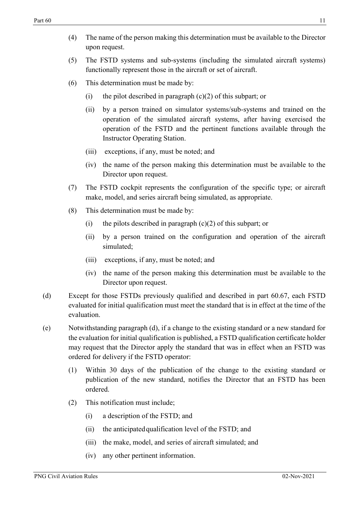- (4) The name of the person making this determination must be available to the Director upon request.
- (5) The FSTD systems and sub-systems (including the simulated aircraft systems) functionally represent those in the aircraft or set of aircraft.
- (6) This determination must be made by:
	- (i) the pilot described in paragraph  $(c)(2)$  of this subpart; or
	- (ii) by a person trained on simulator systems/sub-systems and trained on the operation of the simulated aircraft systems, after having exercised the operation of the FSTD and the pertinent functions available through the Instructor Operating Station.
	- (iii) exceptions, if any, must be noted; and
	- (iv) the name of the person making this determination must be available to the Director upon request.
- (7) The FSTD cockpit represents the configuration of the specific type; or aircraft make, model, and series aircraft being simulated, as appropriate.
- (8) This determination must be made by:
	- (i) the pilots described in paragraph  $(c)(2)$  of this subpart; or
	- (ii) by a person trained on the configuration and operation of the aircraft simulated;
	- (iii) exceptions, if any, must be noted; and
	- (iv) the name of the person making this determination must be available to the Director upon request.
- (d) Except for those FSTDs previously qualified and described in part 60.67, each FSTD evaluated for initial qualification must meet the standard that is in effect at the time of the evaluation.
- (e) Notwithstanding paragraph (d), if a change to the existing standard or a new standard for the evaluation for initial qualification is published, a FSTD qualification certificate holder may request that the Director apply the standard that was in effect when an FSTD was ordered for delivery if the FSTD operator:
	- (1) Within 30 days of the publication of the change to the existing standard or publication of the new standard, notifies the Director that an FSTD has been ordered.
	- (2) This notification must include;
		- (i) a description of the FSTD; and
		- (ii) the anticipatedqualification level of the FSTD; and
		- (iii) the make, model, and series of aircraft simulated; and
		- (iv) any other pertinent information.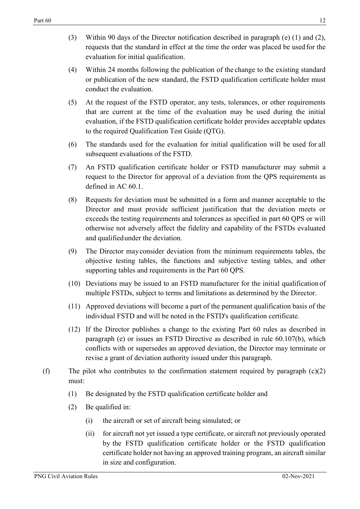- (3) Within 90 days of the Director notification described in paragraph (e) (1) and (2), requests that the standard in effect at the time the order was placed be used for the evaluation for initial qualification.
- (4) Within 24 months following the publication of the change to the existing standard or publication of the new standard, the FSTD qualification certificate holder must conduct the evaluation.
- (5) At the request of the FSTD operator, any tests, tolerances, or other requirements that are current at the time of the evaluation may be used during the initial evaluation, if the FSTD qualification certificate holder provides acceptable updates to the required Qualification Test Guide (QTG).
- (6) The standards used for the evaluation for initial qualification will be used for all subsequent evaluations of the FSTD.
- (7) An FSTD qualification certificate holder or FSTD manufacturer may submit a request to the Director for approval of a deviation from the QPS requirements as defined in AC 60.1.
- (8) Requests for deviation must be submitted in a form and manner acceptable to the Director and must provide sufficient justification that the deviation meets or exceeds the testing requirements and tolerances as specified in part 60 QPS or will otherwise not adversely affect the fidelity and capability of the FSTDs evaluated and qualifiedunder the deviation.
- (9) The Director mayconsider deviation from the minimum requirements tables, the objective testing tables, the functions and subjective testing tables, and other supporting tables and requirements in the Part 60 QPS.
- (10) Deviations may be issued to an FSTD manufacturer for the initial qualification of multiple FSTDs, subject to terms and limitations as determined by the Director.
- (11) Approved deviations will become a part of the permanent qualification basis of the individual FSTD and will be noted in the FSTD's qualification certificate.
- (12) If the Director publishes a change to the existing Part 60 rules as described in paragraph (e) or issues an FSTD Directive as described in rule 60.107(b), which conflicts with or supersedes an approved deviation, the Director may terminate or revise a grant of deviation authority issued under this paragraph.
- (f) The pilot who contributes to the confirmation statement required by paragraph  $(c)(2)$ must:
	- (1) Be designated by the FSTD qualification certificate holder and
	- (2) Be qualified in:
		- (i) the aircraft or set of aircraft being simulated; or
		- (ii) for aircraft not yet issued a type certificate, or aircraft not previously operated by the FSTD qualification certificate holder or the FSTD qualification certificate holder not having an approved training program, an aircraft similar in size and configuration.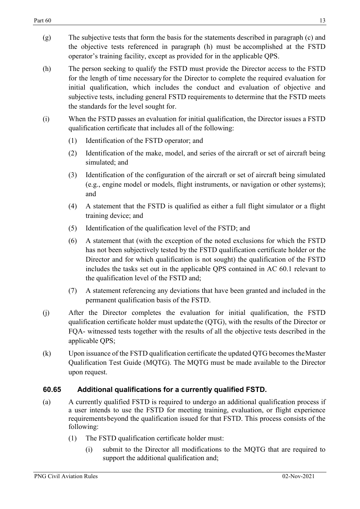- (g) The subjective tests that form the basis for the statements described in paragraph (c) and the objective tests referenced in paragraph (h) must be accomplished at the FSTD operator's training facility, except as provided for in the applicable QPS.
- (h) The person seeking to qualify the FSTD must provide the Director access to the FSTD for the length of time necessaryfor the Director to complete the required evaluation for initial qualification, which includes the conduct and evaluation of objective and subjective tests, including general FSTD requirements to determine that the FSTD meets the standards for the level sought for.
- (i) When the FSTD passes an evaluation for initial qualification, the Director issues a FSTD qualification certificate that includes all of the following:
	- (1) Identification of the FSTD operator; and
	- (2) Identification of the make, model, and series of the aircraft or set of aircraft being simulated; and
	- (3) Identification of the configuration of the aircraft or set of aircraft being simulated (e.g., engine model or models, flight instruments, or navigation or other systems); and
	- (4) A statement that the FSTD is qualified as either a full flight simulator or a flight training device; and
	- (5) Identification of the qualification level of the FSTD; and
	- (6) A statement that (with the exception of the noted exclusions for which the FSTD has not been subjectively tested by the FSTD qualification certificate holder or the Director and for which qualification is not sought) the qualification of the FSTD includes the tasks set out in the applicable QPS contained in AC 60.1 relevant to the qualification level of the FSTD and;
	- (7) A statement referencing any deviations that have been granted and included in the permanent qualification basis of the FSTD.
- (j) After the Director completes the evaluation for initial qualification, the FSTD qualification certificate holder must updatethe (QTG), with the results of the Director or FQA- witnessed tests together with the results of all the objective tests described in the applicable QPS;
- (k) Upon issuance of the FSTD qualification certificate the updated QTG becomes theMaster Qualification Test Guide (MQTG). The MQTG must be made available to the Director upon request.

#### <span id="page-12-0"></span>**60.65 Additional qualifications for a currently qualified FSTD.**

- (a) A currently qualified FSTD is required to undergo an additional qualification process if a user intends to use the FSTD for meeting training, evaluation, or flight experience requirementsbeyond the qualification issued for that FSTD. This process consists of the following:
	- (1) The FSTD qualification certificate holder must:
		- (i) submit to the Director all modifications to the MQTG that are required to support the additional qualification and;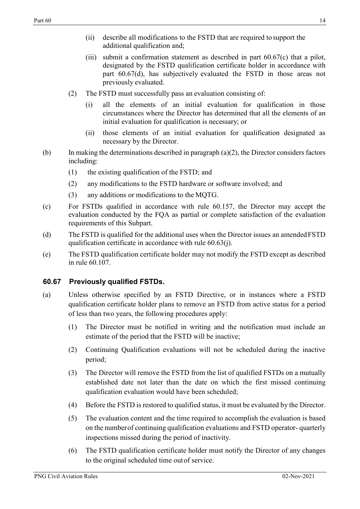- (ii) describe all modifications to the FSTD that are required tosupport the additional qualification and;
- (iii) submit a confirmation statement as described in part 60.67(c) that a pilot, designated by the FSTD qualification certificate holder in accordance with part 60.67(d), has subjectively evaluated the FSTD in those areas not previously evaluated.
- (2) The FSTD must successfully pass an evaluation consisting of:
	- (i) all the elements of an initial evaluation for qualification in those circumstances where the Director has determined that all the elements of an initial evaluation for qualification is necessary; or
	- (ii) those elements of an initial evaluation for qualification designated as necessary by the Director.
- (b) In making the determinations described in paragraph  $(a)(2)$ , the Director considers factors including:
	- (1) the existing qualification of the FSTD; and
	- (2) any modifications to the FSTD hardware or software involved; and
	- (3) any additions or modifications to the MQTG.
- (c) For FSTDs qualified in accordance with rule 60.157, the Director may accept the evaluation conducted by the FQA as partial or complete satisfaction of the evaluation requirements of this Subpart.
- (d) The FSTD is qualified for the additional uses when the Director issues an amendedFSTD qualification certificate in accordance with rule 60.63(j).
- (e) The FSTD qualification certificate holder may not modify the FSTD except as described in rule 60.107.

#### <span id="page-13-0"></span>**60.67 Previously qualified FSTDs.**

- (a) Unless otherwise specified by an FSTD Directive, or in instances where a FSTD qualification certificate holder plans to remove an FSTD from active status for a period of less than two years, the following procedures apply:
	- (1) The Director must be notified in writing and the notification must include an estimate of the period that the FSTD will be inactive;
	- (2) Continuing Qualification evaluations will not be scheduled during the inactive period;
	- (3) The Director will remove the FSTD from the list of qualified FSTDs on a mutually established date not later than the date on which the first missed continuing qualification evaluation would have been scheduled;
	- (4) Before the FSTD is restored to qualified status, it must be evaluated by the Director.
	- (5) The evaluation content and the time required to accomplish the evaluation is based on the numberof continuing qualification evaluations and FSTD operator- quarterly inspections missed during the period of inactivity.
	- (6) The FSTD qualification certificate holder must notify the Director of any changes to the original scheduled time outof service.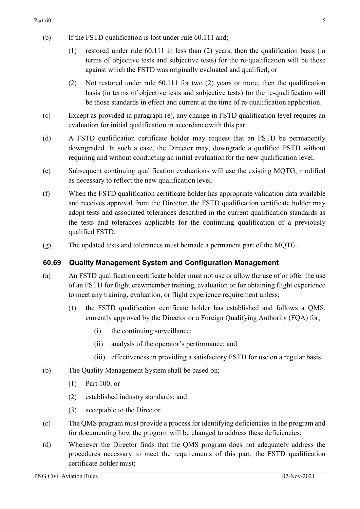- (b) If the FSTD qualification is lost under rule 60.111 and;
	- (1) restored under rule 60.111 in less than (2) years, then the qualification basis (in terms of objective tests and subjective tests) for the re-qualification will be those against whichthe FSTD was originally evaluated and qualified; or
	- (2) Not restored under rule 60.111 for two (2) years or more, then the qualification basis (in terms of objective tests and subjective tests) for the re-qualification will be those standards in effect and current at the time of re-qualification application.
- (c) Except as provided in paragraph (e), any change in FSTD qualification level requires an evaluation for initial qualification in accordancewith this part.
- (d) A FSTD qualification certificate holder may request that an FSTD be permanently downgraded. In such a case, the Director may, downgrade a qualified FSTD without requiring and without conducting an initial evaluation for the new qualification level.
- (e) Subsequent continuing qualification evaluations will use the existing MQTG, modified as necessary to reflect the new qualification level.
- (f) When the FSTD qualification certificate holder has appropriate validation data available and receives approval from the Director, the FSTD qualification certificate holder may adopt tests and associated tolerances described in the current qualification standards as the tests and tolerances applicable for the continuing qualification of a previously qualified FSTD.
- (g) The updated tests and tolerances must bemade a permanent part of the MQTG.

#### <span id="page-14-0"></span>**60.69 Quality Management System and Configuration Management**

- (a) An FSTD qualification certificate holder must not use or allow the use of or offer the use of an FSTD for flight crewmember training, evaluation or for obtaining flight experience to meet any training, evaluation, or flight experience requirement unless;
	- (1) the FSTD qualification certificate holder has established and follows a QMS, currently approved by the Director or a Foreign Qualifying Authority (FQA) for;
		- (i) the continuing surveillance;
		- (ii) analysis of the operator's performance; and
		- (iii) effectiveness in providing a satisfactory FSTD for use on a regular basis:
- (b) The Quality Management System shall be based on;
	- (1) Part 100; or
	- (2) established industry standards; and
	- (3) acceptable to the Director
- (c) The QMS program must provide a process for identifying deficiencies in the program and for documenting how the program will be changed to address these deficiencies;
- (d) Whenever the Director finds that the QMS program does not adequately address the procedures necessary to meet the requirements of this part, the FSTD qualification certificate holder must;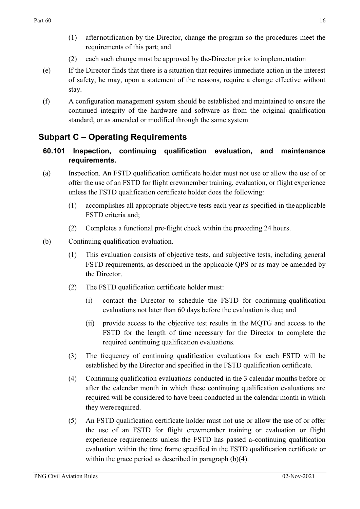- (1) afternotification by the Director, change the program so the procedures meet the requirements of this part; and
- (2) each such change must be approved by the Director prior to implementation
- (e) If the Director finds that there is a situation that requires immediate action in the interest of safety, he may, upon a statement of the reasons, require a change effective without stay.
- (f) A configuration management system should be established and maintained to ensure the continued integrity of the hardware and software as from the original qualification standard, or as amended or modified through the same system

## <span id="page-15-0"></span>**Subpart C – Operating Requirements**

- <span id="page-15-1"></span>**60.101 Inspection, continuing qualification evaluation, and maintenance requirements.**
- (a) Inspection. An FSTD qualification certificate holder must not use or allow the use of or offer the use of an FSTD for flight crewmember training, evaluation, or flight experience unless the FSTD qualification certificate holder does the following:
	- (1) accomplishes all appropriate objective tests each year as specified in the applicable FSTD criteria and;
	- (2) Completes a functional pre-flight check within the preceding 24 hours.
- (b) Continuing qualification evaluation.
	- (1) This evaluation consists of objective tests, and subjective tests, including general FSTD requirements, as described in the applicable QPS or as may be amended by the Director.
	- (2) The FSTD qualification certificate holder must:
		- (i) contact the Director to schedule the FSTD for continuing qualification evaluations not later than 60 days before the evaluation is due; and
		- (ii) provide access to the objective test results in the MQTG and access to the FSTD for the length of time necessary for the Director to complete the required continuing qualification evaluations.
	- (3) The frequency of continuing qualification evaluations for each FSTD will be established by the Director and specified in the FSTD qualification certificate.
	- (4) Continuing qualification evaluations conducted in the 3 calendar months before or after the calendar month in which these continuing qualification evaluations are required will be considered to have been conducted in the calendar month in which they were required.
	- (5) An FSTD qualification certificate holder must not use or allow the use of or offer the use of an FSTD for flight crewmember training or evaluation or flight experience requirements unless the FSTD has passed a-continuing qualification evaluation within the time frame specified in the FSTD qualification certificate or within the grace period as described in paragraph (b)(4).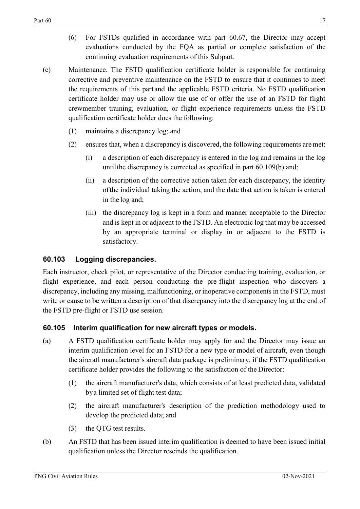- (6) For FSTDs qualified in accordance with part 60.67, the Director may accept evaluations conducted by the FQA as partial or complete satisfaction of the continuing evaluation requirements of this Subpart.
- (c) Maintenance. The FSTD qualification certificate holder is responsible for continuing corrective and preventive maintenance on the FSTD to ensure that it continues to meet the requirements of this part and the applicable FSTD criteria. No FSTD qualification certificate holder may use or allow the use of or offer the use of an FSTD for flight crewmember training, evaluation, or flight experience requirements unless the FSTD qualification certificate holder does the following:
	- (1) maintains a discrepancy log; and
	- (2) ensures that, when a discrepancy is discovered, the following requirements are met:
		- (i) a description of each discrepancy is entered in the log and remains in the log untilthe discrepancy is corrected as specified in part 60.109(b) and;
		- (ii) a description of the corrective action taken for each discrepancy, the identity ofthe individual taking the action, and the date that action is taken is entered in the log and;
		- (iii) the discrepancy log is kept in a form and manner acceptable to the Director and is kept in or adjacent to the FSTD. An electronic log that may be accessed by an appropriate terminal or display in or adjacent to the FSTD is satisfactory.

# <span id="page-16-0"></span>**60.103 Logging discrepancies.**

Each instructor, check pilot, or representative of the Director conducting training, evaluation, or flight experience, and each person conducting the pre-flight inspection who discovers a discrepancy, including any missing, malfunctioning, or inoperative components in the FSTD, must write or cause to be written a description of that discrepancy into the discrepancy log at the end of the FSTD pre-flight or FSTD use session.

# <span id="page-16-1"></span>**60.105 Interim qualification for new aircraft types or models.**

- (a) A FSTD qualification certificate holder may apply for and the Director may issue an interim qualification level for an FSTD for a new type or model of aircraft, even though the aircraft manufacturer's aircraft data package is preliminary, if the FSTD qualification certificate holder provides the following to the satisfaction of the Director:
	- (1) the aircraft manufacturer's data, which consists of at least predicted data, validated bya limited set of flight test data;
	- (2) the aircraft manufacturer's description of the prediction methodology used to develop the predicted data; and
	- (3) the QTG test results.
- (b) An FSTD that has been issued interim qualification is deemed to have been issued initial qualification unless the Director rescinds the qualification.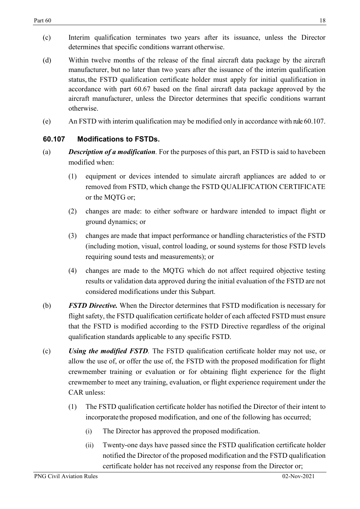- (c) Interim qualification terminates two years after its issuance, unless the Director determines that specific conditions warrant otherwise.
- (d) Within twelve months of the release of the final aircraft data package by the aircraft manufacturer, but no later than two years after the issuance of the interim qualification status, the FSTD qualification certificate holder must apply for initial qualification in accordance with part 60.67 based on the final aircraft data package approved by the aircraft manufacturer, unless the Director determines that specific conditions warrant otherwise.
- (e) An FSTD with interim qualification may be modified only in accordance with rule 60.107.

#### <span id="page-17-0"></span>**60.107 Modifications to FSTDs.**

- (a) *Description of a modification.* For the purposes of this part, an FSTD is said to havebeen modified when:
	- (1) equipment or devices intended to simulate aircraft appliances are added to or removed from FSTD, which change the FSTD QUALIFICATION CERTIFICATE or the MQTG or;
	- (2) changes are made: to either software or hardware intended to impact flight or ground dynamics; or
	- (3) changes are made that impact performance or handling characteristics of the FSTD (including motion, visual, control loading, or sound systems for those FSTD levels requiring sound tests and measurements); or
	- (4) changes are made to the MQTG which do not affect required objective testing results or validation data approved during the initial evaluation of the FSTD are not considered modifications under this Subpart.
- (b) *FSTD Directive.* When the Director determines that FSTD modification is necessary for flight safety, the FSTD qualification certificate holder of each affected FSTD must ensure that the FSTD is modified according to the FSTD Directive regardless of the original qualification standards applicable to any specific FSTD.
- (c) *Using the modified FSTD.* The FSTD qualification certificate holder may not use, or allow the use of, or offer the use of, the FSTD with the proposed modification for flight crewmember training or evaluation or for obtaining flight experience for the flight crewmember to meet any training, evaluation, or flight experience requirement under the CAR unless:
	- (1) The FSTD qualification certificate holder has notified the Director of their intent to incorporate the proposed modification, and one of the following has occurred;
		- (i) The Director has approved the proposed modification.
		- (ii) Twenty-one days have passed since the FSTD qualification certificate holder notified the Director of the proposed modification and the FSTD qualification certificate holder has not received any response from the Director or;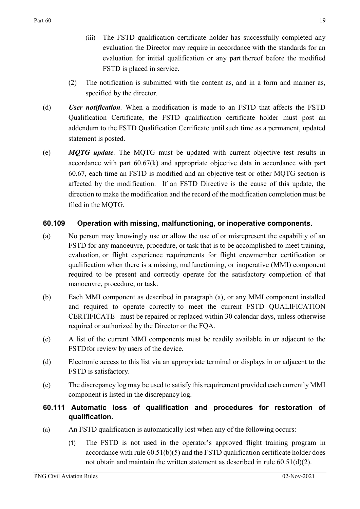- (iii) The FSTD qualification certificate holder has successfully completed any evaluation the Director may require in accordance with the standards for an evaluation for initial qualification or any part thereof before the modified FSTD is placed in service.
- (2) The notification is submitted with the content as, and in a form and manner as, specified by the director.
- (d) *User notification.* When a modification is made to an FSTD that affects the FSTD Qualification Certificate, the FSTD qualification certificate holder must post an addendum to the FSTD Qualification Certificate untilsuch time as a permanent, updated statement is posted.
- (e) *MQTG update.* The MQTG must be updated with current objective test results in accordance with part 60.67(k) and appropriate objective data in accordance with part 60.67, each time an FSTD is modified and an objective test or other MQTG section is affected by the modification. If an FSTD Directive is the cause of this update, the direction to make the modification and the record of the modification completion must be filed in the MQTG.

#### <span id="page-18-0"></span>**60.109 Operation with missing, malfunctioning, or inoperative components.**

- (a) No person may knowingly use or allow the use of or misrepresent the capability of an FSTD for any manoeuvre, procedure, or task that is to be accomplished to meet training, evaluation, or flight experience requirements for flight crewmember certification or qualification when there is a missing, malfunctioning, or inoperative (MMI) component required to be present and correctly operate for the satisfactory completion of that manoeuvre, procedure, or task.
- (b) Each MMI component as described in paragraph (a), or any MMI component installed and required to operate correctly to meet the current FSTD QUALIFICATION CERTIFICATE must be repaired or replaced within 30 calendar days, unless otherwise required or authorized by the Director or the FQA.
- (c) A list of the current MMI components must be readily available in or adjacent to the FSTDfor review by users of the device.
- (d) Electronic access to this list via an appropriate terminal or displays in or adjacent to the FSTD is satisfactory.
- (e) The discrepancy log may be used to satisfy this requirement provided each currently MMI component is listed in the discrepancy log.

#### <span id="page-18-1"></span>**60.111 Automatic loss of qualification and procedures for restoration of qualification.**

- (a) An FSTD qualification is automatically lost when any of the following occurs:
	- (1) The FSTD is not used in the operator's approved flight training program in accordance with rule 60.51(b)(5) and the FSTD qualification certificate holder does not obtain and maintain the written statement as described in rule 60.51(d)(2).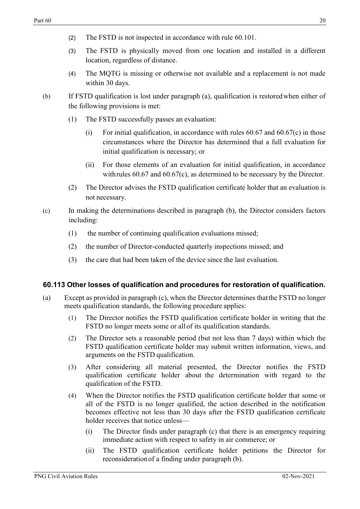- (2) The FSTD is not inspected in accordance with rule 60.101.
- (3) The FSTD is physically moved from one location and installed in a different location, regardless of distance.
- (4) The MQTG is missing or otherwise not available and a replacement is not made within 30 days.
- (b) If FSTD qualification is lost under paragraph (a), qualification is restoredwhen either of the following provisions is met:
	- (1) The FSTD successfully passes an evaluation:
		- (i) For initial qualification, in accordance with rules  $60.67$  and  $60.67$  (c) in those circumstances where the Director has determined that a full evaluation for initial qualification is necessary; or
		- (ii) For those elements of an evaluation for initial qualification, in accordance with rules 60.67 and 60.67(c), as determined to be necessary by the Director.
	- (2) The Director advises the FSTD qualification certificate holder that an evaluation is not necessary.
- (c) In making the determinations described in paragraph (b), the Director considers factors including:
	- (1) the number of continuing qualification evaluations missed;
	- (2) the number of Director-conducted quarterly inspections missed; and
	- (3) the care that had been taken of the device since the last evaluation.

#### <span id="page-19-0"></span>**60.113 Other losses of qualification and procedures for restoration of qualification.**

- (a) Except as provided in paragraph (c), when the Director determines thatthe FSTD no longer meets qualification standards, the following procedure applies:
	- (1) The Director notifies the FSTD qualification certificate holder in writing that the FSTD no longer meets some or all of its qualification standards.
	- (2) The Director sets a reasonable period (but not less than 7 days) within which the FSTD qualification certificate holder may submit written information, views, and arguments on the FSTD qualification.
	- (3) After considering all material presented, the Director notifies the FSTD qualification certificate holder about the determination with regard to the qualification of the FSTD.
	- (4) When the Director notifies the FSTD qualification certificate holder that some or all of the FSTD is no longer qualified, the action described in the notification becomes effective not less than 30 days after the FSTD qualification certificate holder receives that notice unless—
		- (i) The Director finds under paragraph (c) that there is an emergency requiring immediate action with respect to safety in air commerce; or
		- (ii) The FSTD qualification certificate holder petitions the Director for reconsiderationof a finding under paragraph (b).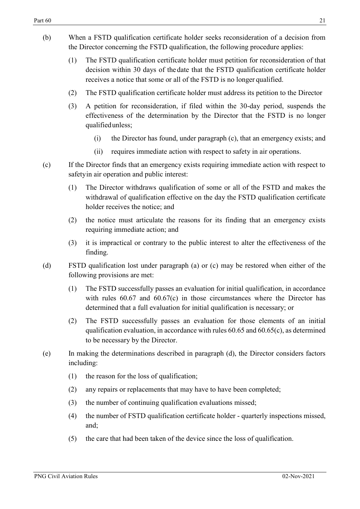- (b) When a FSTD qualification certificate holder seeks reconsideration of a decision from the Director concerning the FSTD qualification, the following procedure applies:
	- (1) The FSTD qualification certificate holder must petition for reconsideration of that decision within 30 days of the date that the FSTD qualification certificate holder receives a notice that some or all of the FSTD is no longer qualified.
	- (2) The FSTD qualification certificate holder must address its petition to the Director
	- (3) A petition for reconsideration, if filed within the 30-day period, suspends the effectiveness of the determination by the Director that the FSTD is no longer qualifiedunless;
		- (i) the Director has found, under paragraph (c), that an emergency exists; and
		- (ii) requires immediate action with respect to safety in air operations.
- (c) If the Director finds that an emergency exists requiring immediate action with respect to safetyin air operation and public interest:
	- (1) The Director withdraws qualification of some or all of the FSTD and makes the withdrawal of qualification effective on the day the FSTD qualification certificate holder receives the notice; and
	- (2) the notice must articulate the reasons for its finding that an emergency exists requiring immediate action; and
	- (3) it is impractical or contrary to the public interest to alter the effectiveness of the finding.
- (d) FSTD qualification lost under paragraph (a) or (c) may be restored when either of the following provisions are met:
	- (1) The FSTD successfully passes an evaluation for initial qualification, in accordance with rules  $60.67$  and  $60.67(c)$  in those circumstances where the Director has determined that a full evaluation for initial qualification is necessary; or
	- (2) The FSTD successfully passes an evaluation for those elements of an initial qualification evaluation, in accordance with rules 60.65 and 60.65(c), as determined to be necessary by the Director.
- <span id="page-20-0"></span>(e) In making the determinations described in paragraph (d), the Director considers factors including:
	- (1) the reason for the loss of qualification;
	- (2) any repairs or replacements that may have to have been completed;
	- (3) the number of continuing qualification evaluations missed;
	- (4) the number of FSTD qualification certificate holder quarterly inspections missed, and;
	- (5) the care that had been taken of the device since the loss of qualification.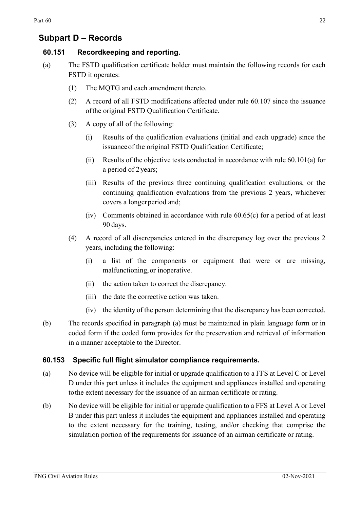### **Subpart D – Records**

## <span id="page-21-0"></span>**60.151 Recordkeeping and reporting.**

- (a) The FSTD qualification certificate holder must maintain the following records for each FSTD it operates:
	- (1) The MQTG and each amendment thereto.
	- (2) A record of all FSTD modifications affected under rule 60.107 since the issuance ofthe original FSTD Qualification Certificate.
	- (3) A copy of all of the following:
		- (i) Results of the qualification evaluations (initial and each upgrade) since the issuanceof the original FSTD Qualification Certificate;
		- (ii) Results of the objective tests conducted in accordance with rule 60.101(a) for a period of 2years;
		- (iii) Results of the previous three continuing qualification evaluations, or the continuing qualification evaluations from the previous 2 years, whichever covers a longerperiod and;
		- (iv) Comments obtained in accordance with rule 60.65(c) for a period of at least 90 days.
	- (4) A record of all discrepancies entered in the discrepancy log over the previous 2 years, including the following:
		- (i) a list of the components or equipment that were or are missing, malfunctioning,or inoperative.
		- (ii) the action taken to correct the discrepancy.
		- (iii) the date the corrective action was taken.
		- (iv) the identity of the person determining that the discrepancy has been corrected.
- (b) The records specified in paragraph (a) must be maintained in plain language form or in coded form if the coded form provides for the preservation and retrieval of information in a manner acceptable to the Director.

#### **60.153 Specific full flight simulator compliance requirements.**

- (a) No device will be eligible for initial or upgrade qualification to a FFS at Level C or Level D under this part unless it includes the equipment and appliances installed and operating tothe extent necessary for the issuance of an airman certificate or rating.
- (b) No device will be eligible for initial or upgrade qualification to a FFS at Level A or Level B under this part unless it includes the equipment and appliances installed and operating to the extent necessary for the training, testing, and/or checking that comprise the simulation portion of the requirements for issuance of an airman certificate or rating.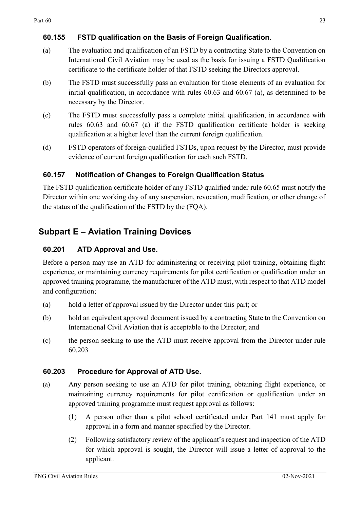#### <span id="page-22-0"></span>**60.155 FSTD qualification on the Basis of Foreign Qualification.**

- (a) The evaluation and qualification of an FSTD by a contracting State to the Convention on International Civil Aviation may be used as the basis for issuing a FSTD Qualification certificate to the certificate holder of that FSTD seeking the Directors approval.
- (b) The FSTD must successfully pass an evaluation for those elements of an evaluation for initial qualification, in accordance with rules 60.63 and 60.67 (a), as determined to be necessary by the Director.
- (c) The FSTD must successfully pass a complete initial qualification, in accordance with rules 60.63 and 60.67 (a) if the FSTD qualification certificate holder is seeking qualification at a higher level than the current foreign qualification.
- (d) FSTD operators of foreign-qualified FSTDs, upon request by the Director, must provide evidence of current foreign qualification for each such FSTD.

### <span id="page-22-1"></span>**60.157 Notification of Changes to Foreign Qualification Status**

The FSTD qualification certificate holder of any FSTD qualified under rule 60.65 must notify the Director within one working day of any suspension, revocation, modification, or other change of the status of the qualification of the FSTD by the (FQA).

# <span id="page-22-2"></span>**Subpart E – Aviation Training Devices**

#### <span id="page-22-3"></span>**60.201 ATD Approval and Use.**

Before a person may use an ATD for administering or receiving pilot training, obtaining flight experience, or maintaining currency requirements for pilot certification or qualification under an approved training programme, the manufacturer of the ATD must, with respect to that ATD model and configuration;

- (a) hold a letter of approval issued by the Director under this part; or
- (b) hold an equivalent approval document issued by a contracting State to the Convention on International Civil Aviation that is acceptable to the Director; and
- (c) the person seeking to use the ATD must receive approval from the Director under rule 60.203

#### <span id="page-22-4"></span>**60.203 Procedure for Approval of ATD Use.**

- (a) Any person seeking to use an ATD for pilot training, obtaining flight experience, or maintaining currency requirements for pilot certification or qualification under an approved training programme must request approval as follows:
	- (1) A person other than a pilot school certificated under Part 141 must apply for approval in a form and manner specified by the Director.
	- (2) Following satisfactory review of the applicant's request and inspection of the ATD for which approval is sought, the Director will issue a letter of approval to the applicant.